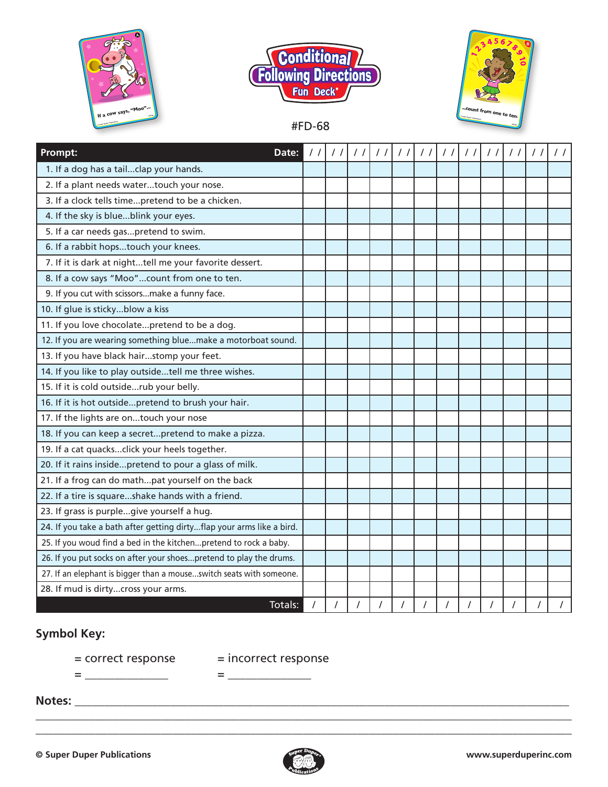



#FD-68



**Prompt: Date:** / / / / / / / / / / / / / / / / / / / / / / / / 1. If a dog has a tail...clap your hands. 2. If a plant needs water...touch your nose. 3. If a clock tells time...pretend to be a chicken. 4. If the sky is blue...blink your eyes. 5. If a car needs gas...pretend to swim. 6. If a rabbit hops...touch your knees. 7. If it is dark at night...tell me your favorite dessert. 8. If a cow says "Moo"...count from one to ten. 9. If you cut with scissors...make a funny face. 10. If glue is sticky...blow a kiss 11. If you love chocolate...pretend to be a dog. 12. If you are wearing something blue...make a motorboat sound. 13. If you have black hair...stomp your feet. 14. If you like to play outside...tell me three wishes. 15. If it is cold outside...rub your belly. 16. If it is hot outside...pretend to brush your hair. 17. If the lights are on...touch your nose 18. If you can keep a secret...pretend to make a pizza. 19. If a cat quacks...click your heels together. 20. If it rains inside...pretend to pour a glass of milk. 21. If a frog can do math...pat yourself on the back 22. If a tire is square...shake hands with a friend. 23. If grass is purple...give yourself a hug. 24. If you take a bath after getting dirty...flap your arms like a bird. 25. If you woud find a bed in the kitchen...pretend to rock a baby. 26. If you put socks on after your shoes...pretend to play the drums. 27. If an elephant is bigger than a mouse...switch seats with someone. 28. If mud is dirty...cross your arms.

## **Symbol Key:**

 $=$  correct response  $=$  incorrect response

= \_\_\_\_\_\_\_\_\_\_\_\_\_\_ = \_\_\_\_\_\_\_\_\_\_\_\_\_\_

**Notes:** \_\_\_\_\_\_\_\_\_\_\_\_\_\_\_\_\_\_\_\_\_\_\_\_\_\_\_\_\_\_\_\_\_\_\_\_\_\_\_\_\_\_\_\_\_\_\_\_\_\_\_\_\_\_\_\_\_\_\_\_\_\_\_\_\_\_\_\_\_\_\_\_\_\_\_\_\_\_\_\_\_\_\_



\_\_\_\_\_\_\_\_\_\_\_\_\_\_\_\_\_\_\_\_\_\_\_\_\_\_\_\_\_\_\_\_\_\_\_\_\_\_\_\_\_\_\_\_\_\_\_\_\_\_\_\_\_\_\_\_\_\_\_\_\_\_\_\_\_\_\_\_\_\_\_\_\_\_\_\_\_\_\_\_\_\_\_\_\_\_\_\_\_\_ \_\_\_\_\_\_\_\_\_\_\_\_\_\_\_\_\_\_\_\_\_\_\_\_\_\_\_\_\_\_\_\_\_\_\_\_\_\_\_\_\_\_\_\_\_\_\_\_\_\_\_\_\_\_\_\_\_\_\_\_\_\_\_\_\_\_\_\_\_\_\_\_\_\_\_\_\_\_\_\_\_\_\_\_\_\_\_\_\_\_

Totals: / / / / / / / / / / / /